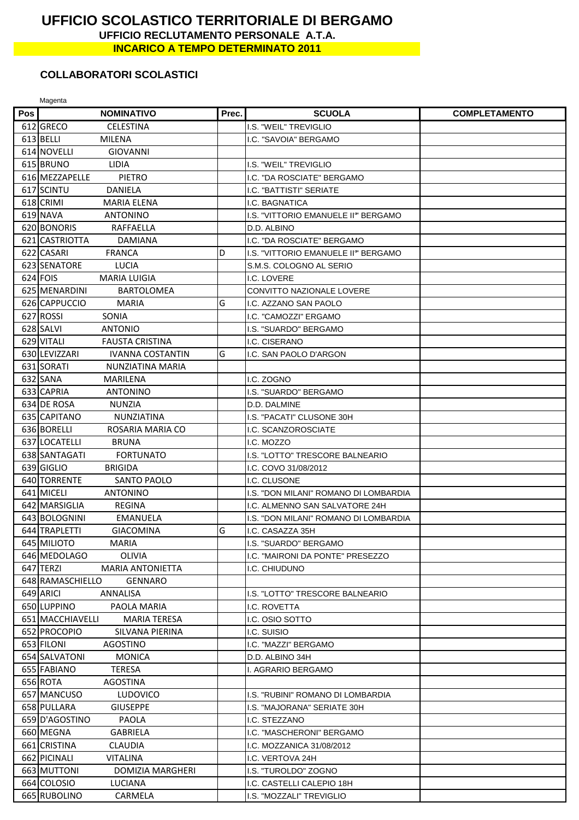## UFFICIO SCOLASTICO TERRITORIALE DI BERGAMO UFFICIO RECLUTAMENTO PERSONALE A.T.A. **INCARICO A TEMPO DETERMINATO 2011**

## **COLLABORATORI SCOLASTICI**

Magenta

| Pos l | <b>NOMINATIVO</b>                        | Prec. | <b>SCUOLA</b>                         | <b>COMPLETAMENTO</b> |
|-------|------------------------------------------|-------|---------------------------------------|----------------------|
|       | 612 GRECO<br><b>CELESTINA</b>            |       | I.S. "WEIL" TREVIGLIO                 |                      |
|       | 613 BELLI<br><b>MILENA</b>               |       | I.C. "SAVOIA" BERGAMO                 |                      |
|       | 614 NOVELLI<br><b>GIOVANNI</b>           |       |                                       |                      |
|       | 615 BRUNO<br>LIDIA                       |       | I.S. "WEIL" TREVIGLIO                 |                      |
|       | 616 MEZZAPELLE<br><b>PIETRO</b>          |       | I.C. "DA ROSCIATE" BERGAMO            |                      |
|       | 617 SCINTU<br><b>DANIELA</b>             |       | I.C. "BATTISTI" SERIATE               |                      |
|       | 618 CRIMI<br><b>MARIA ELENA</b>          |       | I.C. BAGNATICA                        |                      |
|       | 619 NAVA<br><b>ANTONINO</b>              |       | I.S. "VITTORIO EMANUELE II" BERGAMO   |                      |
|       | 620 BONORIS<br>RAFFAELLA                 |       | D.D. ALBINO                           |                      |
|       | 621 CASTRIOTTA<br><b>DAMIANA</b>         |       | I.C. "DA ROSCIATE" BERGAMO            |                      |
|       | 622 CASARI<br><b>FRANCA</b>              | D     | I.S. "VITTORIO EMANUELE II" BERGAMO   |                      |
|       | 623 SENATORE<br><b>LUCIA</b>             |       | S.M.S. COLOGNO AL SERIO               |                      |
|       | 624 FOIS<br><b>MARIA LUIGIA</b>          |       | I.C. LOVERE                           |                      |
|       | 625 MENARDINI<br><b>BARTOLOMEA</b>       |       | CONVITTO NAZIONALE LOVERE             |                      |
|       | 626 CAPPUCCIO<br><b>MARIA</b>            | G     | I.C. AZZANO SAN PAOLO                 |                      |
|       | 627 ROSSI<br>SONIA                       |       | I.C. "CAMOZZI" ERGAMO                 |                      |
|       | 628 SALVI<br><b>ANTONIO</b>              |       | I.S. "SUARDO" BERGAMO                 |                      |
|       | 629 VITALI<br><b>FAUSTA CRISTINA</b>     |       | I.C. CISERANO                         |                      |
|       | 630 LEVIZZARI<br><b>IVANNA COSTANTIN</b> | G     | I.C. SAN PAOLO D'ARGON                |                      |
|       | 631 SORATI<br>NUNZIATINA MARIA           |       |                                       |                      |
|       | 632 SANA<br>MARILENA                     |       | I.C. ZOGNO                            |                      |
|       | 633 CAPRIA<br><b>ANTONINO</b>            |       | I.S. "SUARDO" BERGAMO                 |                      |
|       | 634 DE ROSA<br><b>NUNZIA</b>             |       | D.D. DALMINE                          |                      |
|       | 635 CAPITANO<br><b>NUNZIATINA</b>        |       | I.S. "PACATI" CLUSONE 30H             |                      |
|       | 636 BORELLI<br>ROSARIA MARIA CO          |       | I.C. SCANZOROSCIATE                   |                      |
|       | 637 LOCATELLI<br><b>BRUNA</b>            |       | I.C. MOZZO                            |                      |
|       | 638 SANTAGATI<br><b>FORTUNATO</b>        |       | I.S. "LOTTO" TRESCORE BALNEARIO       |                      |
|       | 639 GIGLIO<br><b>BRIGIDA</b>             |       | .C. COVO 31/08/2012                   |                      |
|       | 640 TORRENTE<br>SANTO PAOLO              |       | I.C. CLUSONE                          |                      |
|       | 641 MICELI<br><b>ANTONINO</b>            |       | I.S. "DON MILANI" ROMANO DI LOMBARDIA |                      |
|       | 642 MARSIGLIA<br><b>REGINA</b>           |       | I.C. ALMENNO SAN SALVATORE 24H        |                      |
|       | 643 BOLOGNINI<br>EMANUELA                |       | I.S. "DON MILANI" ROMANO DI LOMBARDIA |                      |
|       | 644 TRAPLETTI<br><b>GIACOMINA</b>        | G     | I.C. CASAZZA 35H                      |                      |
|       | 645 MILIOTO<br><b>MARIA</b>              |       | I.S. "SUARDO" BERGAMO                 |                      |
|       | 646 MEDOLAGO<br><b>OLIVIA</b>            |       | I.C. "MAIRONI DA PONTE" PRESEZZO      |                      |
|       | 647 TERZI<br><b>MARIA ANTONIETTA</b>     |       | I.C. CHIUDUNO                         |                      |
|       | 648 RAMASCHIELLO<br><b>GENNARO</b>       |       |                                       |                      |
|       | 649 ARICI<br>ANNALISA                    |       | I.S. "LOTTO" TRESCORE BALNEARIO       |                      |
|       | 650 LUPPINO<br>PAOLA MARIA               |       | I.C. ROVETTA                          |                      |
|       | 651 MACCHIAVELLI<br><b>MARIA TERESA</b>  |       | I.C. OSIO SOTTO                       |                      |
|       | 652 PROCOPIO<br>SILVANA PIERINA          |       | I.C. SUISIO                           |                      |
|       | 653 FILONI<br>AGOSTINO                   |       | I.C. "MAZZI" BERGAMO                  |                      |
|       | 654 SALVATONI<br><b>MONICA</b>           |       | D.D. ALBINO 34H                       |                      |
|       | 655 FABIANO<br><b>TERESA</b>             |       | I. AGRARIO BERGAMO                    |                      |
|       | 656 ROTA<br><b>AGOSTINA</b>              |       |                                       |                      |
|       | 657 MANCUSO<br><b>LUDOVICO</b>           |       | I.S. "RUBINI" ROMANO DI LOMBARDIA     |                      |
|       | 658 PULLARA<br><b>GIUSEPPE</b>           |       | I.S. "MAJORANA" SERIATE 30H           |                      |
|       | 659 D'AGOSTINO<br><b>PAOLA</b>           |       | I.C. STEZZANO                         |                      |
|       | 660 MEGNA<br><b>GABRIELA</b>             |       | I.C. "MASCHERONI" BERGAMO             |                      |
|       | 661 CRISTINA<br><b>CLAUDIA</b>           |       | I.C. MOZZANICA 31/08/2012             |                      |
|       | 662 PICINALI<br><b>VITALINA</b>          |       | I.C. VERTOVA 24H                      |                      |
|       | 663 MUTTONI<br>DOMIZIA MARGHERI          |       | I.S. "TUROLDO" ZOGNO                  |                      |
|       | 664 COLOSIO<br>LUCIANA                   |       | I.C. CASTELLI CALEPIO 18H             |                      |
|       | 665 RUBOLINO<br>CARMELA                  |       | I.S. "MOZZALI" TREVIGLIO              |                      |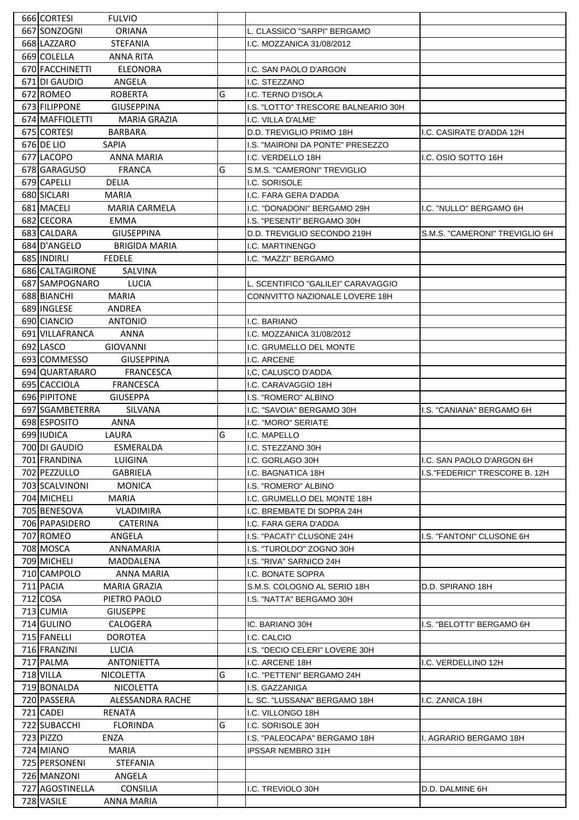| 666 CORTESI<br><b>FULVIO</b>                                          |   |                                     |                                |
|-----------------------------------------------------------------------|---|-------------------------------------|--------------------------------|
| 667 SONZOGNI<br><b>ORIANA</b>                                         |   | L. CLASSICO "SARPI" BERGAMO         |                                |
| 668 LAZZARO<br><b>STEFANIA</b>                                        |   | I.C. MOZZANICA 31/08/2012           |                                |
| 669 COLELLA<br><b>ANNA RITA</b>                                       |   |                                     |                                |
| 670 FACCHINETTI<br><b>ELEONORA</b>                                    |   | I.C. SAN PAOLO D'ARGON              |                                |
| 671 DI GAUDIO<br>ANGELA                                               |   | I.C. STEZZANO                       |                                |
| 672 ROMEO<br><b>ROBERTA</b>                                           | G | I.C. TERNO D'ISOLA                  |                                |
| 673 FILIPPONE<br><b>GIUSEPPINA</b>                                    |   | I.S. "LOTTO" TRESCORE BALNEARIO 30H |                                |
| 674 MAFFIOLETTI<br><b>MARIA GRAZIA</b>                                |   | I.C. VILLA D'ALME'                  |                                |
| 675 CORTESI<br><b>BARBARA</b>                                         |   | D.D. TREVIGLIO PRIMO 18H            | I.C. CASIRATE D'ADDA 12H       |
| 676 DE LIO<br><b>SAPIA</b>                                            |   | I.S. "MAIRONI DA PONTE" PRESEZZO    |                                |
| 677 LACOPO<br><b>ANNA MARIA</b>                                       |   | I.C. VERDELLO 18H                   | I.C. OSIO SOTTO 16H            |
| 678 GARAGUSO<br><b>FRANCA</b>                                         | G | S.M.S. "CAMERONI" TREVIGLIO         |                                |
| 679 CAPELLI<br><b>DELIA</b>                                           |   |                                     |                                |
|                                                                       |   | I.C. SORISOLE                       |                                |
| 680 SICLARI<br><b>MARIA</b>                                           |   | I.C. FARA GERA D'ADDA               |                                |
| 681 MACELI<br><b>MARIA CARMELA</b>                                    |   | I.C. "DONADONI" BERGAMO 29H         | I.C. "NULLO" BERGAMO 6H        |
| 682 CECORA<br><b>EMMA</b>                                             |   | I.S. "PESENTI" BERGAMO 30H          |                                |
| 683 CALDARA<br><b>GIUSEPPINA</b>                                      |   | D.D. TREVIGLIO SECONDO 219H         | S.M.S. "CAMERONI" TREVIGLIO 6H |
| 684 D'ANGELO<br><b>BRIGIDA MARIA</b>                                  |   | I.C. MARTINENGO                     |                                |
| 685 INDIRLI<br><b>FEDELE</b>                                          |   | I.C. "MAZZI" BERGAMO                |                                |
| 686 CALTAGIRONE<br>SALVINA                                            |   |                                     |                                |
| 687 SAMPOGNARO<br>LUCIA                                               |   | L. SCENTIFICO "GALILEI" CARAVAGGIO  |                                |
| 688 BIANCHI<br><b>MARIA</b>                                           |   | CONNVITTO NAZIONALE LOVERE 18H      |                                |
| 689 INGLESE<br>ANDREA                                                 |   |                                     |                                |
| 690 CIANCIO<br><b>ANTONIO</b>                                         |   | I.C. BARIANO                        |                                |
| 691 VILLAFRANCA<br><b>ANNA</b>                                        |   | I.C. MOZZANICA 31/08/2012           |                                |
| 692 LASCO<br><b>GIOVANNI</b>                                          |   | I.C. GRUMELLO DEL MONTE             |                                |
| 693ICOMMESSO<br><b>GIUSEPPINA</b>                                     |   | I.C. ARCENE                         |                                |
| 694 QUARTARARO<br><b>FRANCESCA</b>                                    |   | I.C. CALUSCO D'ADDA                 |                                |
| 695 CACCIOLA<br><b>FRANCESCA</b>                                      |   | I.C. CARAVAGGIO 18H                 |                                |
| 696 PIPITONE<br><b>GIUSEPPA</b>                                       |   | I.S. "ROMERO" ALBINO                |                                |
| 697 SGAMBETERRA<br>SILVANA                                            |   | I.C. "SAVOIA" BERGAMO 30H           | I.S. "CANIANA" BERGAMO 6H      |
| 698 ESPOSITO<br><b>ANNA</b>                                           |   | I.C. "MORO" SERIATE                 |                                |
| 699 IUDICA<br>LAURA                                                   | G | I.C. MAPELLO                        |                                |
| 700 DI GAUDIO<br><b>ESMERALDA</b>                                     |   | I.C. STEZZANO 30H                   |                                |
| 701 FRANDINA<br>LUIGINA                                               |   | I.C. GORLAGO 30H                    | I.C. SAN PAOLO D'ARGON 6H      |
| 702 PEZZULLO<br>GABRIELA                                              |   | I.C. BAGNATICA 18H                  |                                |
|                                                                       |   |                                     |                                |
|                                                                       |   |                                     | I.S."FEDERICI" TRESCORE B. 12H |
| 703 SCALVINONI<br><b>MONICA</b>                                       |   | I.S. "ROMERO" ALBINO                |                                |
| 704 MICHELI<br><b>MARIA</b>                                           |   | I.C. GRUMELLO DEL MONTE 18H         |                                |
| 705 BENESOVA<br><b>VLADIMIRA</b>                                      |   | I.C. BREMBATE DI SOPRA 24H          |                                |
| 706 PAPASIDERO<br>CATERINA                                            |   | I.C. FARA GERA D'ADDA               |                                |
| 707 ROMEO<br>ANGELA                                                   |   | I.S. "PACATI" CLUSONE 24H           | I.S. "FANTONI" CLUSONE 6H      |
| 708 MOSCA<br>ANNAMARIA                                                |   | I.S. "TUROLDO" ZOGNO 30H            |                                |
| 709 MICHELI<br>MADDALENA                                              |   | I.S. "RIVA" SARNICO 24H             |                                |
| 710 CAMPOLO<br>ANNA MARIA                                             |   | I.C. BONATE SOPRA                   |                                |
| 711 PACIA<br><b>MARIA GRAZIA</b>                                      |   | S.M.S. COLOGNO AL SERIO 18H         | D.D. SPIRANO 18H               |
| 712 COSA<br>PIETRO PAOLO                                              |   | I.S. "NATTA" BERGAMO 30H            |                                |
| 713 CUMIA<br><b>GIUSEPPE</b>                                          |   |                                     |                                |
| 714 GULINO<br>CALOGERA                                                |   | IC. BARIANO 30H                     | I.S. "BELOTTI" BERGAMO 6H      |
| 715 FANELLI<br><b>DOROTEA</b>                                         |   | I.C. CALCIO                         |                                |
| 716 FRANZINI<br><b>LUCIA</b>                                          |   | I.S. "DECIO CELERI" LOVERE 30H      |                                |
| 717 PALMA<br><b>ANTONIETTA</b>                                        |   | I.C. ARCENE 18H                     | I.C. VERDELLINO 12H            |
| 718 VILLA<br>NICOLETTA                                                | G | I.C. "PETTENI" BERGAMO 24H          |                                |
| 719 BONALDA<br><b>NICOLETTA</b>                                       |   | I.S. GAZZANIGA                      |                                |
| 720 PASSERA<br>ALESSANDRA RACHE                                       |   | L. SC. "LUSSANA" BERGAMO 18H        | I.C. ZANICA 18H                |
| 721 CADEI<br>RENATA                                                   |   | I.C. VILLONGO 18H                   |                                |
| 722 SUBACCHI<br><b>FLORINDA</b>                                       | G | I.C. SORISOLE 30H                   |                                |
| 723 PIZZO<br>ENZA                                                     |   | I.S. "PALEOCAPA" BERGAMO 18H        | I. AGRARIO BERGAMO 18H         |
|                                                                       |   |                                     |                                |
| 724 MIANO<br>MARIA                                                    |   | IPSSAR NEMBRO 31H                   |                                |
| 725 PERSONENI<br><b>STEFANIA</b>                                      |   |                                     |                                |
| 726 MANZONI<br>ANGELA                                                 |   |                                     |                                |
| 727 AGOSTINELLA<br><b>CONSILIA</b><br>728 VASILE<br><b>ANNA MARIA</b> |   | I.C. TREVIOLO 30H                   | D.D. DALMINE 6H                |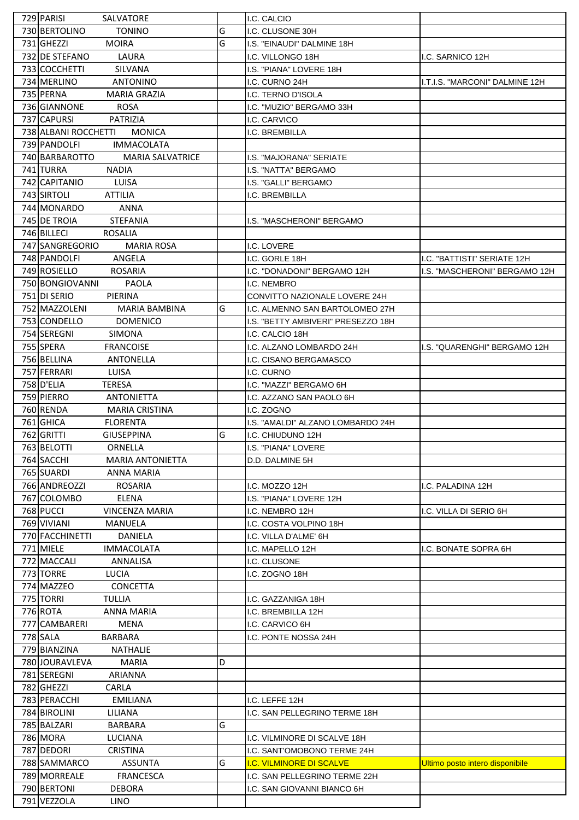| 729 PARISI<br>SALVATORE                          |   | I.C. CALCIO                        |                                 |
|--------------------------------------------------|---|------------------------------------|---------------------------------|
| 730 BERTOLINO<br><b>TONINO</b>                   | G | I.C. CLUSONE 30H                   |                                 |
| 731 GHEZZI<br><b>MOIRA</b>                       | G | I.S. "EINAUDI" DALMINE 18H         |                                 |
| 732 DE STEFANO<br>LAURA                          |   | I.C. VILLONGO 18H                  | I.C. SARNICO 12H                |
| 733 COCCHETTI<br>SILVANA                         |   | I.S. "PIANA" LOVERE 18H            |                                 |
| 734 MERLINO<br><b>ANTONINO</b>                   |   | I.C. CURNO 24H                     | I.T.I.S. "MARCONI" DALMINE 12H  |
| 735 PERNA<br><b>MARIA GRAZIA</b>                 |   | I.C. TERNO D'ISOLA                 |                                 |
| 736 GIANNONE<br><b>ROSA</b>                      |   | I.C. "MUZIO" BERGAMO 33H           |                                 |
| 737 CAPURSI<br><b>PATRIZIA</b>                   |   | I.C. CARVICO                       |                                 |
| 738 ALBANI ROCCHETTI<br><b>MONICA</b>            |   | I.C. BREMBILLA                     |                                 |
| 739 PANDOLFI<br><b>IMMACOLATA</b>                |   |                                    |                                 |
| 740 BARBAROTTO<br><b>MARIA SALVATRICE</b>        |   | I.S. "MAJORANA" SERIATE            |                                 |
| 741 TURRA<br><b>NADIA</b>                        |   | I.S. "NATTA" BERGAMO               |                                 |
| 742 CAPITANIO<br><b>LUISA</b>                    |   | I.S. "GALLI" BERGAMO               |                                 |
| 743 SIRTOLI<br><b>ATTILIA</b>                    |   | I.C. BREMBILLA                     |                                 |
| 744 MONARDO<br><b>ANNA</b>                       |   |                                    |                                 |
| 745 DE TROIA<br><b>STEFANIA</b>                  |   | I.S. "MASCHERONI" BERGAMO          |                                 |
| 746 BILLECI<br>ROSALIA                           |   |                                    |                                 |
| 747 SANGREGORIO<br><b>MARIA ROSA</b>             |   | I.C. LOVERE                        |                                 |
| 748 PANDOLFI<br>ANGELA                           |   | I.C. GORLE 18H                     | I.C. "BATTISTI" SERIATE 12H     |
| 749 ROSIELLO<br><b>ROSARIA</b>                   |   | I.C. "DONADONI" BERGAMO 12H        | I.S. "MASCHERONI" BERGAMO 12H   |
| 750 BONGIOVANNI<br><b>PAOLA</b>                  |   | I.C. NEMBRO                        |                                 |
| 751 DI SERIO<br>PIERINA                          |   | CONVITTO NAZIONALE LOVERE 24H      |                                 |
| 752 MAZZOLENI<br><b>MARIA BAMBINA</b>            | G | I.C. ALMENNO SAN BARTOLOMEO 27H    |                                 |
| 753 CONDELLO<br><b>DOMENICO</b>                  |   | I.S. "BETTY AMBIVERI" PRESEZZO 18H |                                 |
| 754 SEREGNI<br>SIMONA                            |   | I.C. CALCIO 18H                    |                                 |
| 755 SPERA<br><b>FRANCOISE</b>                    |   | I.C. ALZANO LOMBARDO 24H           | I.S. "QUARENGHI" BERGAMO 12H    |
| 756 BELLINA<br><b>ANTONELLA</b>                  |   | I.C. CISANO BERGAMASCO             |                                 |
| 757 FERRARI<br>LUISA                             |   | I.C. CURNO                         |                                 |
| 758 D'ELIA<br><b>TERESA</b>                      |   | I.C. "MAZZI" BERGAMO 6H            |                                 |
| 759 PIERRO                                       |   | I.C. AZZANO SAN PAOLO 6H           |                                 |
| ANTONIETTA<br>760 RENDA<br><b>MARIA CRISTINA</b> |   | I.C. ZOGNO                         |                                 |
| 761 GHICA<br><b>FLORENTA</b>                     |   | I.S. "AMALDI" ALZANO LOMBARDO 24H  |                                 |
| 762 GRITTI<br><b>GIUSEPPINA</b>                  | G | I.C. CHIUDUNO 12H                  |                                 |
| 763 BELOTTI<br>ORNELLA                           |   | I.S. "PIANA" LOVERE                |                                 |
| 764 SACCHI<br><b>MARIA ANTONIETTA</b>            |   | D.D. DALMINE 5H                    |                                 |
| 765 SUARDI                                       |   |                                    |                                 |
| ANNA MARIA                                       |   |                                    |                                 |
| 766 ANDREOZZI<br>ROSARIA                         |   | I.C. MOZZO 12H                     | I.C. PALADINA 12H               |
| 767 COLOMBO<br>ELENA                             |   | I.S. "PIANA" LOVERE 12H            |                                 |
| 768 PUCCI<br><b>VINCENZA MARIA</b>               |   | I.C. NEMBRO 12H                    | I.C. VILLA DI SERIO 6H          |
| 769 VIVIANI<br>MANUELA                           |   | I.C. COSTA VOLPINO 18H             |                                 |
| 770 FACCHINETTI<br><b>DANIELA</b>                |   | I.C. VILLA D'ALME' 6H              |                                 |
| 771 MIELE<br><b>IMMACOLATA</b>                   |   | I.C. MAPELLO 12H                   | I.C. BONATE SOPRA 6H            |
| 772 MACCALI<br>ANNALISA                          |   | I.C. CLUSONE                       |                                 |
| 773 TORRE<br><b>LUCIA</b>                        |   | I.C. ZOGNO 18H                     |                                 |
| 774 MAZZEO<br><b>CONCETTA</b>                    |   |                                    |                                 |
| 775 TORRI<br><b>TULLIA</b>                       |   | I.C. GAZZANIGA 18H                 |                                 |
| 776 ROTA<br><b>ANNA MARIA</b>                    |   | I.C. BREMBILLA 12H                 |                                 |
| 777 CAMBARERI<br>MENA                            |   | I.C. CARVICO 6H                    |                                 |
| 778 SALA<br>BARBARA                              |   | I.C. PONTE NOSSA 24H               |                                 |
| 779 BIANZINA<br>NATHALIE                         |   |                                    |                                 |
| 780 JOURAVLEVA<br>MARIA                          | D |                                    |                                 |
| 781 SEREGNI<br>ARIANNA                           |   |                                    |                                 |
| 782 GHEZZI<br>CARLA                              |   |                                    |                                 |
| 783 PERACCHI<br><b>EMILIANA</b>                  |   | I.C. LEFFE 12H                     |                                 |
| 784 BIROLINI<br>LILIANA                          |   | I.C. SAN PELLEGRINO TERME 18H      |                                 |
| 785 BALZARI<br>BARBARA                           | G |                                    |                                 |
| 786 MORA<br>LUCIANA                              |   | I.C. VILMINORE DI SCALVE 18H       |                                 |
| 787 DEDORI<br><b>CRISTINA</b>                    |   | I.C. SANT'OMOBONO TERME 24H        |                                 |
| 788 SAMMARCO<br><b>ASSUNTA</b>                   | G | I.C. VILMINORE DI SCALVE           | Ultimo posto intero disponibile |
| 789 MORREALE<br><b>FRANCESCA</b>                 |   | I.C. SAN PELLEGRINO TERME 22H      |                                 |
| 790 BERTONI<br><b>DEBORA</b>                     |   | I.C. SAN GIOVANNI BIANCO 6H        |                                 |
| 791 VEZZOLA<br><b>LINO</b>                       |   |                                    |                                 |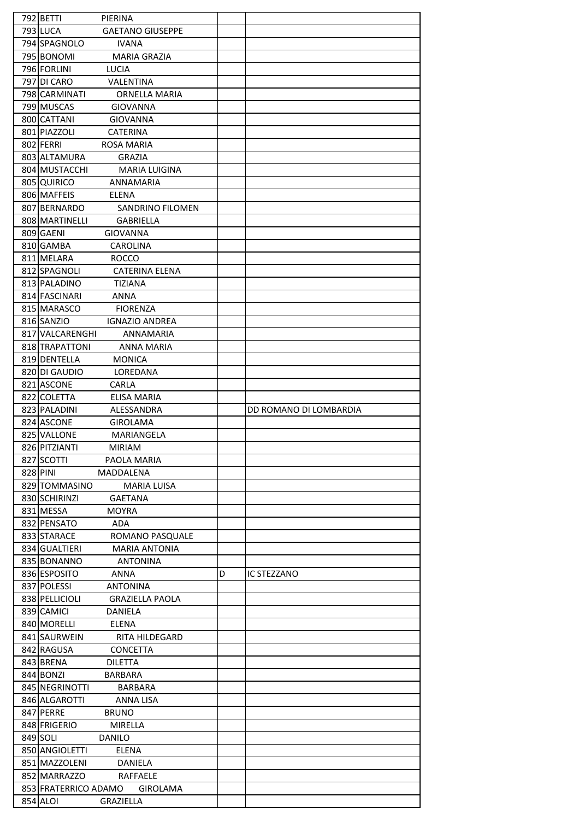| 792 BETTI<br>PIERINA                       |                         |
|--------------------------------------------|-------------------------|
| <b>793 LUCA</b><br><b>GAETANO GIUSEPPE</b> |                         |
| 794 SPAGNOLO<br><b>IVANA</b>               |                         |
| 795 BONOMI<br><b>MARIA GRAZIA</b>          |                         |
|                                            |                         |
| 796 FORLINI<br><b>LUCIA</b>                |                         |
| VALENTINA<br>797 DI CARO                   |                         |
| 798 CARMINATI<br>ORNELLA MARIA             |                         |
| 799 MUSCAS<br><b>GIOVANNA</b>              |                         |
| 800 CATTANI<br><b>GIOVANNA</b>             |                         |
| 801 PIAZZOLI<br><b>CATERINA</b>            |                         |
| 802 FERRI<br><b>ROSA MARIA</b>             |                         |
| 803 ALTAMURA<br>GRAZIA                     |                         |
| 804 MUSTACCHI<br><b>MARIA LUIGINA</b>      |                         |
| 805 QUIRICO<br>ANNAMARIA                   |                         |
| 806 MAFFEIS<br>ELENA                       |                         |
|                                            |                         |
| 807 BERNARDO<br>SANDRINO FILOMEN           |                         |
| 808 MARTINELLI<br><b>GABRIELLA</b>         |                         |
| 809 GAENI<br><b>GIOVANNA</b>               |                         |
| 810 GAMBA<br>CAROLINA                      |                         |
| 811 MELARA<br><b>ROCCO</b>                 |                         |
| 812 SPAGNOLI<br><b>CATERINA ELENA</b>      |                         |
| 813 PALADINO<br><b>TIZIANA</b>             |                         |
| 814 FASCINARI<br><b>ANNA</b>               |                         |
| 815 MARASCO<br><b>FIORENZA</b>             |                         |
| 816 SANZIO<br>IGNAZIO ANDREA               |                         |
| 817 VALCARENGHI                            |                         |
| ANNAMARIA                                  |                         |
| 818 TRAPATTONI<br><b>ANNA MARIA</b>        |                         |
| 819 DENTELLA<br><b>MONICA</b>              |                         |
| 820 DI GAUDIO<br>LOREDANA                  |                         |
| 821 ASCONE<br>CARLA                        |                         |
| 822 COLETTA<br>ELISA MARIA                 |                         |
| 823 PALADINI<br>ALESSANDRA                 | DD ROMANO DI LOMBARDIA  |
|                                            |                         |
| 824 ASCONE<br><b>GIROLAMA</b>              |                         |
| 825 VALLONE<br>MARIANGELA                  |                         |
| 826 PITZIANTI<br><b>MIRIAM</b>             |                         |
| 827 SCOTTI<br>PAOLA MARIA                  |                         |
| 828 PINI<br>MADDALENA                      |                         |
|                                            |                         |
| 829 TOMMASINO<br><b>MARIA LUISA</b>        |                         |
| 830 SCHIRINZI<br><b>GAETANA</b>            |                         |
| 831 MESSA<br><b>MOYRA</b>                  |                         |
| 832 PENSATO<br>ADA                         |                         |
| 833 STARACE<br>ROMANO PASQUALE             |                         |
| 834 GUALTIERI<br><b>MARIA ANTONIA</b>      |                         |
| 835 BONANNO<br><b>ANTONINA</b>             |                         |
| 836 ESPOSITO<br>ANNA                       | D<br><b>IC STEZZANO</b> |
| 837 POLESSI<br><b>ANTONINA</b>             |                         |
| 838 PELLICIOLI<br><b>GRAZIELLA PAOLA</b>   |                         |
| 839 CAMICI<br>DANIELA                      |                         |
| 840 MORELLI<br>ELENA                       |                         |
|                                            |                         |
| 841 SAURWEIN<br>RITA HILDEGARD             |                         |
| 842 RAGUSA<br><b>CONCETTA</b>              |                         |
| 843 BRENA<br><b>DILETTA</b>                |                         |
| 844 BONZI<br><b>BARBARA</b>                |                         |
| 845 NEGRINOTTI<br>BARBARA                  |                         |
| 846 ALGAROTTI<br><b>ANNA LISA</b>          |                         |
| 847 PERRE<br><b>BRUNO</b>                  |                         |
| 848 FRIGERIO<br>MIRELLA                    |                         |
| 849 SOLI<br><b>DANILO</b>                  |                         |
| 850 ANGIOLETTI<br>ELENA                    |                         |
| 851 MAZZOLENI<br>DANIELA                   |                         |
| 852 MARRAZZO<br>RAFFAELE                   |                         |
| 853 FRATERRICO ADAMO<br><b>GIROLAMA</b>    |                         |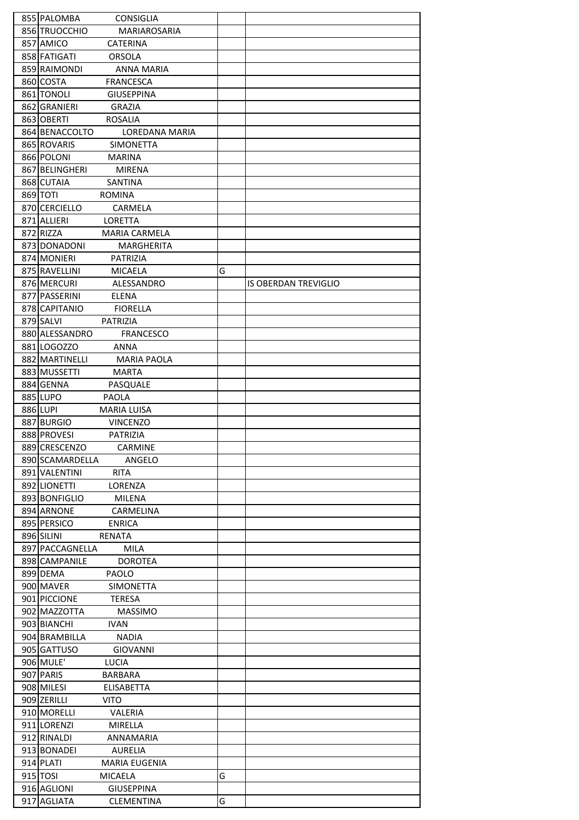| 855 PALOMBA<br><b>CONSIGLIA</b>      |   |                             |
|--------------------------------------|---|-----------------------------|
| 856 TRUOCCHIO<br>MARIAROSARIA        |   |                             |
| 857 AMICO<br><b>CATERINA</b>         |   |                             |
| 858 FATIGATI<br><b>ORSOLA</b>        |   |                             |
|                                      |   |                             |
| 859 RAIMONDI<br><b>ANNA MARIA</b>    |   |                             |
| 860 COSTA<br><b>FRANCESCA</b>        |   |                             |
| 861 TONOLI<br><b>GIUSEPPINA</b>      |   |                             |
| 862 GRANIERI<br><b>GRAZIA</b>        |   |                             |
| 863 OBERTI<br><b>ROSALIA</b>         |   |                             |
| 864 BENACCOLTO<br>LOREDANA MARIA     |   |                             |
| 865 ROVARIS<br><b>SIMONETTA</b>      |   |                             |
|                                      |   |                             |
| 866 POLONI<br>MARINA                 |   |                             |
| 867 BELINGHERI<br><b>MIRENA</b>      |   |                             |
| 868 CUTAIA<br>SANTINA                |   |                             |
| 869 TOTI<br><b>ROMINA</b>            |   |                             |
| 870 CERCIELLO<br><b>CARMELA</b>      |   |                             |
| 871 ALLIERI<br><b>LORETTA</b>        |   |                             |
| 872 RIZZA<br>MARIA CARMELA           |   |                             |
| 873 DONADONI                         |   |                             |
| <b>MARGHERITA</b>                    |   |                             |
| 874 MONIERI<br><b>PATRIZIA</b>       |   |                             |
| 875 RAVELLINI<br><b>MICAELA</b>      | G |                             |
| 876 MERCURI<br>ALESSANDRO            |   | <b>IS OBERDAN TREVIGLIO</b> |
| 877 PASSERINI<br>ELENA               |   |                             |
| 878 CAPITANIO<br><b>FIORELLA</b>     |   |                             |
| 879 SALVI<br>PATRIZIA                |   |                             |
| 880 ALESSANDRO<br><b>FRANCESCO</b>   |   |                             |
|                                      |   |                             |
| 881 LOGOZZO<br><b>ANNA</b>           |   |                             |
| 882 MARTINELLI<br><b>MARIA PAOLA</b> |   |                             |
| 883 MUSSETTI<br><b>MARTA</b>         |   |                             |
| 884 GENNA<br>PASQUALE                |   |                             |
| 885 LUPO<br><b>PAOLA</b>             |   |                             |
| 886 LUPI<br><b>MARIA LUISA</b>       |   |                             |
| 887 BURGIO<br><b>VINCENZO</b>        |   |                             |
| 888 PROVESI<br><b>PATRIZIA</b>       |   |                             |
|                                      |   |                             |
| 889 CRESCENZO<br>CARMINE             |   |                             |
| 890 SCAMARDELLA<br>ANGELO            |   |                             |
| 891 VALENTINI<br><b>RITA</b>         |   |                             |
| 892 LIONETTI<br>LORENZA              |   |                             |
| 893 BONFIGLIO<br>MILENA              |   |                             |
| 894 ARNONE<br>CARMELINA              |   |                             |
| 895 PERSICO<br><b>ENRICA</b>         |   |                             |
| 896 SILINI<br>RENATA                 |   |                             |
|                                      |   |                             |
| 897 PACCAGNELLA<br><b>MILA</b>       |   |                             |
| 898 CAMPANILE<br><b>DOROTEA</b>      |   |                             |
| 899 DEMA<br>PAOLO                    |   |                             |
| 900 MAVER<br>SIMONETTA               |   |                             |
| 901 PICCIONE<br><b>TERESA</b>        |   |                             |
| 902 MAZZOTTA<br><b>MASSIMO</b>       |   |                             |
| 903 BIANCHI<br><b>IVAN</b>           |   |                             |
| 904 BRAMBILLA<br><b>NADIA</b>        |   |                             |
|                                      |   |                             |
| 905 GATTUSO<br><b>GIOVANNI</b>       |   |                             |
| 906 MULE'<br>LUCIA                   |   |                             |
| 907 PARIS<br><b>BARBARA</b>          |   |                             |
| 908 MILESI<br><b>ELISABETTA</b>      |   |                             |
| 909 ZERILLI<br>VITO.                 |   |                             |
| 910 MORELLI<br>VALERIA               |   |                             |
| 911 LORENZI<br><b>MIRELLA</b>        |   |                             |
| 912 RINALDI<br>ANNAMARIA             |   |                             |
| 913 BONADEI<br>AURELIA               |   |                             |
|                                      |   |                             |
| 914 PLATI<br><b>MARIA EUGENIA</b>    |   |                             |
| 915 TOSI<br>MICAELA                  | G |                             |
| 916 AGLIONI<br><b>GIUSEPPINA</b>     |   |                             |
| 917 AGLIATA<br><b>CLEMENTINA</b>     | G |                             |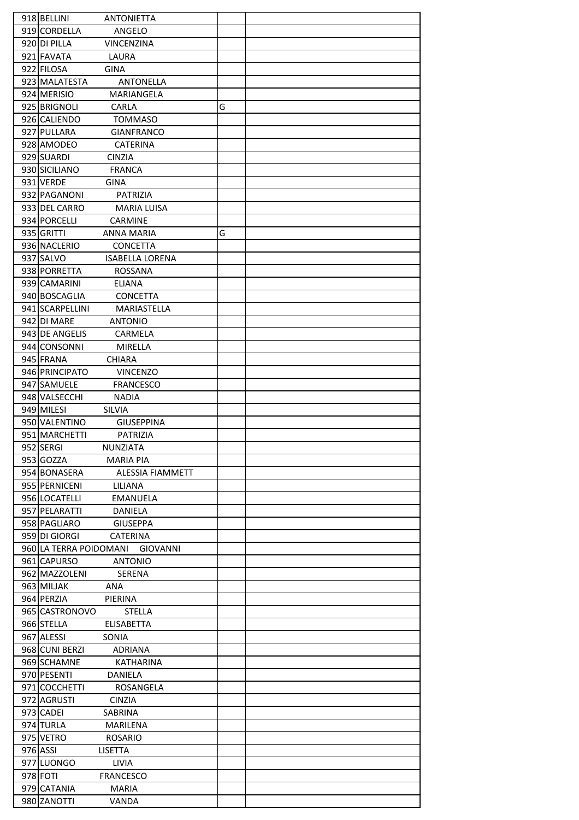| 918 BELLINI<br><b>ANTONIETTA</b>    |   |
|-------------------------------------|---|
| 919 CORDELLA<br>ANGELO              |   |
|                                     |   |
| 920 DI PILLA<br><b>VINCENZINA</b>   |   |
| 921 FAVATA<br>LAURA                 |   |
| 922 FILOSA<br><b>GINA</b>           |   |
| 923 MALATESTA<br><b>ANTONELLA</b>   |   |
| 924 MERISIO<br>MARIANGELA           |   |
| 925 BRIGNOLI<br>CARLA               | G |
| 926 CALIENDO<br><b>TOMMASO</b>      |   |
| 927 PULLARA<br><b>GIANFRANCO</b>    |   |
| 928 AMODEO<br><b>CATERINA</b>       |   |
| 929 SUARDI<br><b>CINZIA</b>         |   |
| 930 SICILIANO<br><b>FRANCA</b>      |   |
|                                     |   |
| 931 VERDE<br><b>GINA</b>            |   |
| 932 PAGANONI<br>PATRIZIA            |   |
| 933 DEL CARRO<br><b>MARIA LUISA</b> |   |
| 934 PORCELLI<br><b>CARMINE</b>      |   |
| 935 GRITTI<br><b>ANNA MARIA</b>     | G |
| 936 NACLERIO<br><b>CONCETTA</b>     |   |
| 937 SALVO<br><b>ISABELLA LORENA</b> |   |
| 938 PORRETTA<br>ROSSANA             |   |
| 939 CAMARINI<br>ELIANA              |   |
| 940 BOSCAGLIA<br><b>CONCETTA</b>    |   |
| 941 SCARPELLINI<br>MARIASTELLA      |   |
| 942 DI MARE<br><b>ANTONIO</b>       |   |
|                                     |   |
| 943 DE ANGELIS<br>CARMELA           |   |
| 944 CONSONNI<br><b>MIRELLA</b>      |   |
| 945 FRANA<br><b>CHIARA</b>          |   |
| 946 PRINCIPATO<br><b>VINCENZO</b>   |   |
| 947 SAMUELE<br><b>FRANCESCO</b>     |   |
| 948 VALSECCHI<br><b>NADIA</b>       |   |
| 949 MILESI<br><b>SILVIA</b>         |   |
| 950 VALENTINO<br><b>GIUSEPPINA</b>  |   |
| 951 MARCHETTI<br><b>PATRIZIA</b>    |   |
| 952 SERGI<br>NUNZIATA               |   |
| 953 GOZZA<br><b>MARIA PIA</b>       |   |
| 954 BONASERA<br>ALESSIA FIAMMETT    |   |
| 955 PERNICENI<br>LILIANA            |   |
| 956 LOCATELLI<br><b>EMANUELA</b>    |   |
| 957 PELARATTI<br>DANIELA            |   |
| 958 PAGLIARO<br><b>GIUSEPPA</b>     |   |
| 959 DI GIORGI<br><b>CATERINA</b>    |   |
| 960 LA TERRA POIDOMANI<br>GIOVANNI  |   |
| 961 CAPURSO<br><b>ANTONIO</b>       |   |
| 962 MAZZOLENI<br><b>SERENA</b>      |   |
| 963 MILJAK<br>ANA                   |   |
|                                     |   |
| 964 PERZIA<br>PIERINA               |   |
| 965 CASTRONOVO<br><b>STELLA</b>     |   |
| 966 STELLA<br><b>ELISABETTA</b>     |   |
| 967 ALESSI<br>SONIA                 |   |
| 968 CUNI BERZI<br><b>ADRIANA</b>    |   |
| 969 SCHAMNE<br><b>KATHARINA</b>     |   |
| 970 PESENTI<br>DANIELA              |   |
| 971 COCCHETTI<br>ROSANGELA          |   |
| 972 AGRUSTI<br><b>CINZIA</b>        |   |
| 973 CADEI<br>SABRINA                |   |
| 974 TURLA<br>MARILENA               |   |
| 975 VETRO<br><b>ROSARIO</b>         |   |
| 976 ASSI<br><b>LISETTA</b>          |   |
| 977 LUONGO<br><b>LIVIA</b>          |   |
| 978 FOTI<br><b>FRANCESCO</b>        |   |
| 979 CATANIA<br>MARIA                |   |
| 980 ZANOTTI<br>VANDA                |   |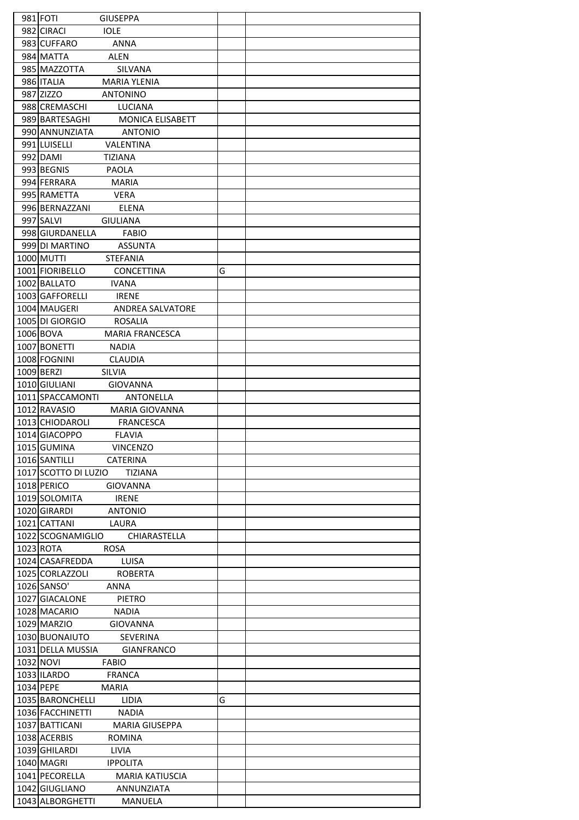| 981 FOTI<br><b>GIUSEPPA</b>               |   |
|-------------------------------------------|---|
| <b>IOLE</b><br>982 CIRACI                 |   |
| 983 CUFFARO<br><b>ANNA</b>                |   |
| <b>ALEN</b><br>984 MATTA                  |   |
| 985 MAZZOTTA<br>SILVANA                   |   |
| 986 ITALIA<br><b>MARIA YLENIA</b>         |   |
|                                           |   |
| 987 ZIZZO<br><b>ANTONINO</b>              |   |
| 988 CREMASCHI<br><b>LUCIANA</b>           |   |
| 989 BARTESAGHI<br><b>MONICA ELISABETT</b> |   |
| 990 ANNUNZIATA<br><b>ANTONIO</b>          |   |
| 991 LUISELLI<br>VALENTINA                 |   |
| 992 DAMI<br>TIZIANA                       |   |
| 993 BEGNIS<br><b>PAOLA</b>                |   |
| 994 FERRARA<br><b>MARIA</b>               |   |
| 995 RAMETTA<br><b>VERA</b>                |   |
| 996 BERNAZZANI<br>ELENA                   |   |
| 997 SALVI<br><b>GIULIANA</b>              |   |
| 998 GIURDANELLA<br><b>FABIO</b>           |   |
| 999 DI MARTINO<br><b>ASSUNTA</b>          |   |
| <b>1000 MUTTI</b><br><b>STEFANIA</b>      |   |
| 1001 FIORIBELLO<br>CONCETTINA             | G |
|                                           |   |
| 1002 BALLATO<br><b>IVANA</b>              |   |
| 1003 GAFFORELLI<br><b>IRENE</b>           |   |
| 1004 MAUGERI<br><b>ANDREA SALVATORE</b>   |   |
| 1005 DI GIORGIO<br>ROSALIA                |   |
| 1006 BOVA<br><b>MARIA FRANCESCA</b>       |   |
| 1007 BONETTI<br><b>NADIA</b>              |   |
| 1008 FOGNINI<br><b>CLAUDIA</b>            |   |
| 1009 BERZI<br><b>SILVIA</b>               |   |
| <b>GIOVANNA</b><br>1010 GIULIANI          |   |
| 1011 SPACCAMONTI<br><b>ANTONELLA</b>      |   |
| 1012 RAVASIO<br><b>MARIA GIOVANNA</b>     |   |
| 1013 CHIODAROLI<br><b>FRANCESCA</b>       |   |
| 1014 GIACOPPO<br><b>FLAVIA</b>            |   |
| 1015 GUMINA<br><b>VINCENZO</b>            |   |
| 1016 SANTILLI CATERINA                    |   |
|                                           |   |
| 1017 SCOTTO DI LUZIO TIZIANA              |   |
| 1018 PERICO<br>GIOVANNA                   |   |
| 1019 SOLOMITA IRENE                       |   |
| <b>ANTONIO</b><br>1020 GIRARDI            |   |
| 1021 CATTANI LAURA                        |   |
| 1022 SCOGNAMIGLIO CHIARASTELLA            |   |
| 1023 ROTA<br><b>ROSA</b>                  |   |
| 1024 CASAFREDDA LUISA                     |   |
| 1025 CORLAZZOLI ROBERTA                   |   |
| <b>ANNA</b><br>1026 SANSO'                |   |
| 1027 GIACALONE<br>PIETRO                  |   |
| 1028 MACARIO<br>NADIA                     |   |
| 1029 MARZIO<br><b>GIOVANNA</b>            |   |
| 1030 BUONAIUTO SEVERINA                   |   |
| 1031 DELLA MUSSIA GIANFRANCO              |   |
| 1032 NOVI<br><b>EABIO</b>                 |   |
| 1033 ILARDO<br><b>FRANCA</b>              |   |
|                                           |   |
| 1034 PEPE<br>MARIA                        |   |
| 1035 BARONCHELLI LIDIA                    | G |
| 1036 FACCHINETTI NADIA                    |   |
| 1037 BATTICANI<br>MARIA GIUSEPPA          |   |
| 1038 ACERBIS<br><b>ROMINA</b>             |   |
| 1039 GHILARDI<br>LIVIA                    |   |
| 1040 MAGRI<br><b>IPPOLITA</b>             |   |
| 1041 PECORELLA<br><b>MARIA KATIUSCIA</b>  |   |
| 1042 GIUGLIANO<br>ANNUNZIATA              |   |
| 1043 ALBORGHETTI<br>MANUELA               |   |